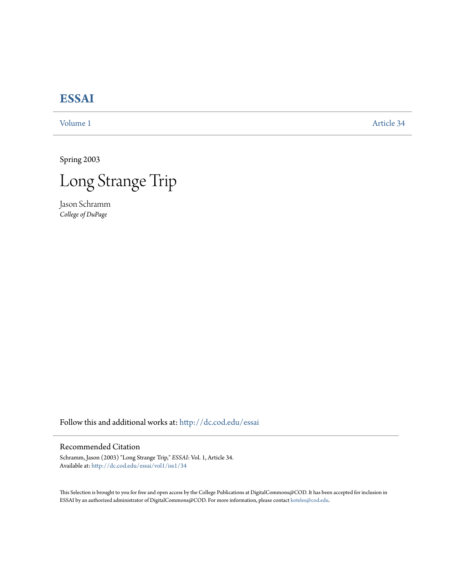# **[ESSAI](http://dc.cod.edu/essai?utm_source=dc.cod.edu%2Fessai%2Fvol1%2Fiss1%2F34&utm_medium=PDF&utm_campaign=PDFCoverPages)**

[Volume 1](http://dc.cod.edu/essai/vol1?utm_source=dc.cod.edu%2Fessai%2Fvol1%2Fiss1%2F34&utm_medium=PDF&utm_campaign=PDFCoverPages) [Article 34](http://dc.cod.edu/essai/vol1/iss1/34?utm_source=dc.cod.edu%2Fessai%2Fvol1%2Fiss1%2F34&utm_medium=PDF&utm_campaign=PDFCoverPages)

Spring 2003



Jason Schramm *College of DuPage*

Follow this and additional works at: [http://dc.cod.edu/essai](http://dc.cod.edu/essai?utm_source=dc.cod.edu%2Fessai%2Fvol1%2Fiss1%2F34&utm_medium=PDF&utm_campaign=PDFCoverPages)

## Recommended Citation

Schramm, Jason (2003) "Long Strange Trip," *ESSAI*: Vol. 1, Article 34. Available at: [http://dc.cod.edu/essai/vol1/iss1/34](http://dc.cod.edu/essai/vol1/iss1/34?utm_source=dc.cod.edu%2Fessai%2Fvol1%2Fiss1%2F34&utm_medium=PDF&utm_campaign=PDFCoverPages)

This Selection is brought to you for free and open access by the College Publications at DigitalCommons@COD. It has been accepted for inclusion in ESSAI by an authorized administrator of DigitalCommons@COD. For more information, please contact [koteles@cod.edu](mailto:koteles@cod.edu).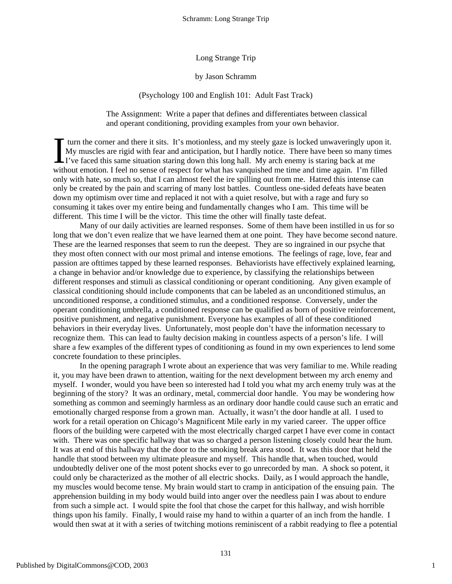Long Strange Trip

#### by Jason Schramm

### (Psychology 100 and English 101: Adult Fast Track)

The Assignment: Write a paper that defines and differentiates between classical and operant conditioning, providing examples from your own behavior.

turn the corner and there it sits. It's motionless, and my steely gaze is locked unwaveringly upon it. My muscles are rigid with fear and anticipation, but I hardly notice. There have been so many times If turn the corner and there it sits. It's motionless, and my steely gaze is locked unwaveringly upon My muscles are rigid with fear and anticipation, but I hardly notice. There have been so many to I've faced this same si without emotion. I feel no sense of respect for what has vanquished me time and time again. I'm filled only with hate, so much so, that I can almost feel the ire spilling out from me. Hatred this intense can only be created by the pain and scarring of many lost battles. Countless one-sided defeats have beaten down my optimism over time and replaced it not with a quiet resolve, but with a rage and fury so consuming it takes over my entire being and fundamentally changes who I am. This time will be different. This time I will be the victor. This time the other will finally taste defeat.

Many of our daily activities are learned responses. Some of them have been instilled in us for so long that we don't even realize that we have learned them at one point. They have become second nature. These are the learned responses that seem to run the deepest. They are so ingrained in our psyche that they most often connect with our most primal and intense emotions. The feelings of rage, love, fear and passion are ofttimes tapped by these learned responses. Behaviorists have effectively explained learning, a change in behavior and/or knowledge due to experience, by classifying the relationships between different responses and stimuli as classical conditioning or operant conditioning. Any given example of classical conditioning should include components that can be labeled as an unconditioned stimulus, an unconditioned response, a conditioned stimulus, and a conditioned response. Conversely, under the operant conditioning umbrella, a conditioned response can be qualified as born of positive reinforcement, positive punishment, and negative punishment. Everyone has examples of all of these conditioned behaviors in their everyday lives. Unfortunately, most people don't have the information necessary to recognize them. This can lead to faulty decision making in countless aspects of a person's life. I will share a few examples of the different types of conditioning as found in my own experiences to lend some concrete foundation to these principles.

In the opening paragraph I wrote about an experience that was very familiar to me. While reading it, you may have been drawn to attention, waiting for the next development between my arch enemy and myself. I wonder, would you have been so interested had I told you what my arch enemy truly was at the beginning of the story? It was an ordinary, metal, commercial door handle. You may be wondering how something as common and seemingly harmless as an ordinary door handle could cause such an erratic and emotionally charged response from a grown man. Actually, it wasn't the door handle at all. I used to work for a retail operation on Chicago's Magnificent Mile early in my varied career. The upper office floors of the building were carpeted with the most electrically charged carpet I have ever come in contact with. There was one specific hallway that was so charged a person listening closely could hear the hum. It was at end of this hallway that the door to the smoking break area stood. It was this door that held the handle that stood between my ultimate pleasure and myself. This handle that, when touched, would undoubtedly deliver one of the most potent shocks ever to go unrecorded by man. A shock so potent, it could only be characterized as the mother of all electric shocks. Daily, as I would approach the handle, my muscles would become tense. My brain would start to cramp in anticipation of the ensuing pain. The apprehension building in my body would build into anger over the needless pain I was about to endure from such a simple act. I would spite the fool that chose the carpet for this hallway, and wish horrible things upon his family. Finally, I would raise my hand to within a quarter of an inch from the handle. I would then swat at it with a series of twitching motions reminiscent of a rabbit readying to flee a potential

1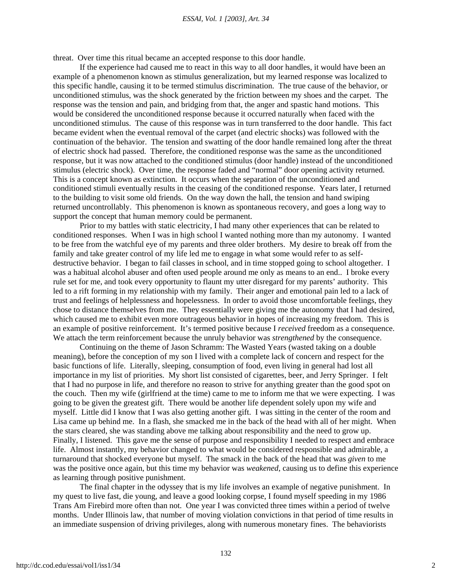#### *ESSAI, Vol. 1 [2003], Art. 34*

threat. Over time this ritual became an accepted response to this door handle.

If the experience had caused me to react in this way to all door handles, it would have been an example of a phenomenon known as stimulus generalization, but my learned response was localized to this specific handle, causing it to be termed stimulus discrimination. The true cause of the behavior, or unconditioned stimulus, was the shock generated by the friction between my shoes and the carpet. The response was the tension and pain, and bridging from that, the anger and spastic hand motions. This would be considered the unconditioned response because it occurred naturally when faced with the unconditioned stimulus. The cause of this response was in turn transferred to the door handle. This fact became evident when the eventual removal of the carpet (and electric shocks) was followed with the continuation of the behavior. The tension and swatting of the door handle remained long after the threat of electric shock had passed. Therefore, the conditioned response was the same as the unconditioned response, but it was now attached to the conditioned stimulus (door handle) instead of the unconditioned stimulus (electric shock). Over time, the response faded and "normal" door opening activity returned. This is a concept known as extinction. It occurs when the separation of the unconditioned and conditioned stimuli eventually results in the ceasing of the conditioned response. Years later, I returned to the building to visit some old friends. On the way down the hall, the tension and hand swiping returned uncontrollably. This phenomenon is known as spontaneous recovery, and goes a long way to support the concept that human memory could be permanent.

Prior to my battles with static electricity, I had many other experiences that can be related to conditioned responses. When I was in high school I wanted nothing more than my autonomy. I wanted to be free from the watchful eye of my parents and three older brothers. My desire to break off from the family and take greater control of my life led me to engage in what some would refer to as selfdestructive behavior. I began to fail classes in school, and in time stopped going to school altogether. I was a habitual alcohol abuser and often used people around me only as means to an end.. I broke every rule set for me, and took every opportunity to flaunt my utter disregard for my parents' authority. This led to a rift forming in my relationship with my family. Their anger and emotional pain led to a lack of trust and feelings of helplessness and hopelessness. In order to avoid those uncomfortable feelings, they chose to distance themselves from me. They essentially were giving me the autonomy that I had desired, which caused me to exhibit even more outrageous behavior in hopes of increasing my freedom. This is an example of positive reinforcement. It's termed positive because I *received* freedom as a consequence. We attach the term reinforcement because the unruly behavior was *strengthened* by the consequence.

Continuing on the theme of Jason Schramm: The Wasted Years (wasted taking on a double meaning), before the conception of my son I lived with a complete lack of concern and respect for the basic functions of life. Literally, sleeping, consumption of food, even living in general had lost all importance in my list of priorities. My short list consisted of cigarettes, beer, and Jerry Springer. I felt that I had no purpose in life, and therefore no reason to strive for anything greater than the good spot on the couch. Then my wife (girlfriend at the time) came to me to inform me that we were expecting. I was going to be given the greatest gift. There would be another life dependent solely upon my wife and myself. Little did I know that I was also getting another gift. I was sitting in the center of the room and Lisa came up behind me. In a flash, she smacked me in the back of the head with all of her might. When the stars cleared, she was standing above me talking about responsibility and the need to grow up. Finally, I listened. This gave me the sense of purpose and responsibility I needed to respect and embrace life. Almost instantly, my behavior changed to what would be considered responsible and admirable, a turnaround that shocked everyone but myself. The smack in the back of the head that was *given* to me was the positive once again, but this time my behavior was *weakened*, causing us to define this experience as learning through positive punishment.

The final chapter in the odyssey that is my life involves an example of negative punishment. In my quest to live fast, die young, and leave a good looking corpse, I found myself speeding in my 1986 Trans Am Firebird more often than not. One year I was convicted three times within a period of twelve months. Under Illinois law, that number of moving violation convictions in that period of time results in an immediate suspension of driving privileges, along with numerous monetary fines. The behaviorists